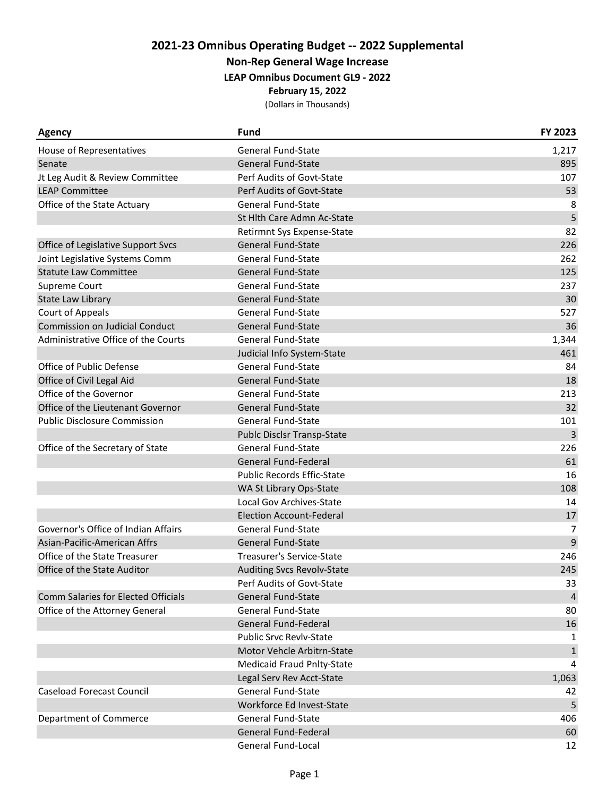**Non-Rep General Wage Increase**

**LEAP Omnibus Document GL9 - 2022**

**February 15, 2022**

| <b>Agency</b>                         | <b>Fund</b>                       | FY 2023        |
|---------------------------------------|-----------------------------------|----------------|
| House of Representatives              | <b>General Fund-State</b>         | 1,217          |
| Senate                                | <b>General Fund-State</b>         | 895            |
| Jt Leg Audit & Review Committee       | Perf Audits of Govt-State         | 107            |
| <b>LEAP Committee</b>                 | Perf Audits of Govt-State         | 53             |
| Office of the State Actuary           | <b>General Fund-State</b>         | 8              |
|                                       | St Hlth Care Admn Ac-State        | 5              |
|                                       | Retirmnt Sys Expense-State        | 82             |
| Office of Legislative Support Svcs    | <b>General Fund-State</b>         | 226            |
| Joint Legislative Systems Comm        | <b>General Fund-State</b>         | 262            |
| <b>Statute Law Committee</b>          | <b>General Fund-State</b>         | 125            |
| Supreme Court                         | <b>General Fund-State</b>         | 237            |
| State Law Library                     | <b>General Fund-State</b>         | 30             |
| <b>Court of Appeals</b>               | <b>General Fund-State</b>         | 527            |
| <b>Commission on Judicial Conduct</b> | <b>General Fund-State</b>         | 36             |
| Administrative Office of the Courts   | <b>General Fund-State</b>         | 1,344          |
|                                       | Judicial Info System-State        | 461            |
| Office of Public Defense              | <b>General Fund-State</b>         | 84             |
| Office of Civil Legal Aid             | <b>General Fund-State</b>         | 18             |
| Office of the Governor                | <b>General Fund-State</b>         | 213            |
| Office of the Lieutenant Governor     | <b>General Fund-State</b>         | 32             |
| <b>Public Disclosure Commission</b>   | <b>General Fund-State</b>         | 101            |
|                                       | Publc Disclsr Transp-State        | 3              |
| Office of the Secretary of State      | <b>General Fund-State</b>         | 226            |
|                                       | General Fund-Federal              | 61             |
|                                       | <b>Public Records Effic-State</b> | 16             |
|                                       | WA St Library Ops-State           | 108            |
|                                       | Local Gov Archives-State          | 14             |
|                                       | <b>Election Account-Federal</b>   | 17             |
| Governor's Office of Indian Affairs   | <b>General Fund-State</b>         | 7              |
| Asian-Pacific-American Affrs          | <b>General Fund-State</b>         | 9              |
| Office of the State Treasurer         | Treasurer's Service-State         | 246            |
| Office of the State Auditor           | <b>Auditing Svcs Revolv-State</b> | 245            |
|                                       | Perf Audits of Govt-State         | 33             |
| Comm Salaries for Elected Officials   | <b>General Fund-State</b>         | $\overline{4}$ |
| Office of the Attorney General        | <b>General Fund-State</b>         | 80             |
|                                       | General Fund-Federal              | 16             |
|                                       | <b>Public Srvc Revlv-State</b>    | 1              |
|                                       | Motor Vehcle Arbitrn-State        | $\mathbf{1}$   |
|                                       | <b>Medicaid Fraud Pnlty-State</b> | $\overline{4}$ |
|                                       | Legal Serv Rev Acct-State         | 1,063          |
| <b>Caseload Forecast Council</b>      | <b>General Fund-State</b>         | 42             |
|                                       | Workforce Ed Invest-State         | 5              |
| Department of Commerce                | <b>General Fund-State</b>         | 406            |
|                                       | General Fund-Federal              | 60             |
|                                       | General Fund-Local                | 12             |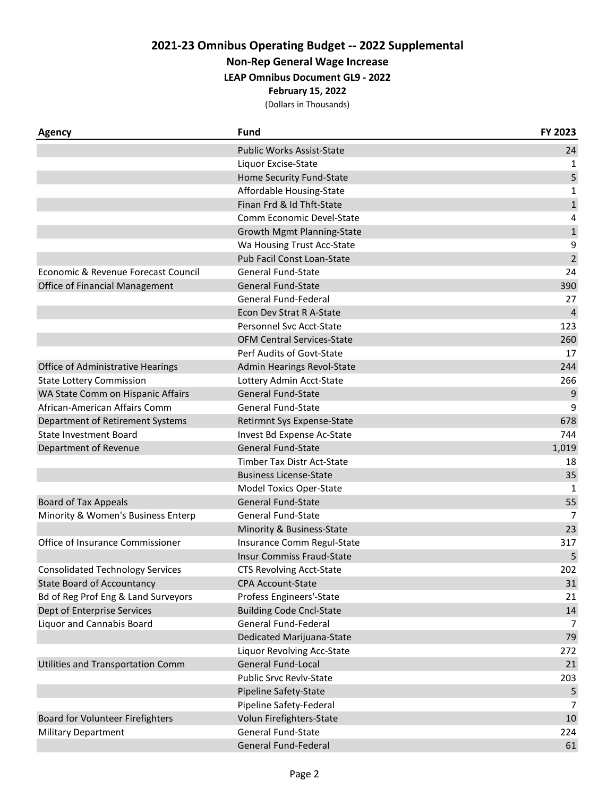**Non-Rep General Wage Increase**

**LEAP Omnibus Document GL9 - 2022**

**February 15, 2022**

| Agency                                  | <b>Fund</b>                       | FY 2023      |
|-----------------------------------------|-----------------------------------|--------------|
|                                         | <b>Public Works Assist-State</b>  | 24           |
|                                         | Liquor Excise-State               | 1            |
|                                         | Home Security Fund-State          | 5            |
|                                         | Affordable Housing-State          | 1            |
|                                         | Finan Frd & Id Thft-State         | $\mathbf{1}$ |
|                                         | Comm Economic Devel-State         | 4            |
|                                         | Growth Mgmt Planning-State        | $\mathbf 1$  |
|                                         | Wa Housing Trust Acc-State        | 9            |
|                                         | Pub Facil Const Loan-State        | $\mathbf 2$  |
| Economic & Revenue Forecast Council     | <b>General Fund-State</b>         | 24           |
| Office of Financial Management          | <b>General Fund-State</b>         | 390          |
|                                         | General Fund-Federal              | 27           |
|                                         | Econ Dev Strat R A-State          | 4            |
|                                         | Personnel Svc Acct-State          | 123          |
|                                         | <b>OFM Central Services-State</b> | 260          |
|                                         | Perf Audits of Govt-State         | 17           |
| Office of Administrative Hearings       | Admin Hearings Revol-State        | 244          |
| <b>State Lottery Commission</b>         | Lottery Admin Acct-State          | 266          |
| WA State Comm on Hispanic Affairs       | <b>General Fund-State</b>         | 9            |
| African-American Affairs Comm           | <b>General Fund-State</b>         | 9            |
| Department of Retirement Systems        | Retirmnt Sys Expense-State        | 678          |
| <b>State Investment Board</b>           | Invest Bd Expense Ac-State        | 744          |
| Department of Revenue                   | <b>General Fund-State</b>         | 1,019        |
|                                         | Timber Tax Distr Act-State        | 18           |
|                                         | <b>Business License-State</b>     | 35           |
|                                         | <b>Model Toxics Oper-State</b>    | 1            |
| <b>Board of Tax Appeals</b>             | <b>General Fund-State</b>         | 55           |
| Minority & Women's Business Enterp      | <b>General Fund-State</b>         | 7            |
|                                         | Minority & Business-State         | 23           |
| Office of Insurance Commissioner        | Insurance Comm Regul-State        | 317          |
|                                         | <b>Insur Commiss Fraud-State</b>  | 5            |
| <b>Consolidated Technology Services</b> | <b>CTS Revolving Acct-State</b>   | 202          |
| <b>State Board of Accountancy</b>       | <b>CPA Account-State</b>          | 31           |
| Bd of Reg Prof Eng & Land Surveyors     | Profess Engineers'-State          | 21           |
| Dept of Enterprise Services             | <b>Building Code Cncl-State</b>   | 14           |
| Liquor and Cannabis Board               | General Fund-Federal              | 7            |
|                                         | Dedicated Marijuana-State         | 79           |
|                                         | Liquor Revolving Acc-State        | 272          |
| Utilities and Transportation Comm       | <b>General Fund-Local</b>         | 21           |
|                                         | <b>Public Srvc Revlv-State</b>    | 203          |
|                                         | Pipeline Safety-State             | 5            |
|                                         | Pipeline Safety-Federal           | 7            |
| Board for Volunteer Firefighters        | Volun Firefighters-State          | 10           |
| <b>Military Department</b>              | General Fund-State                | 224          |
|                                         | General Fund-Federal              | 61           |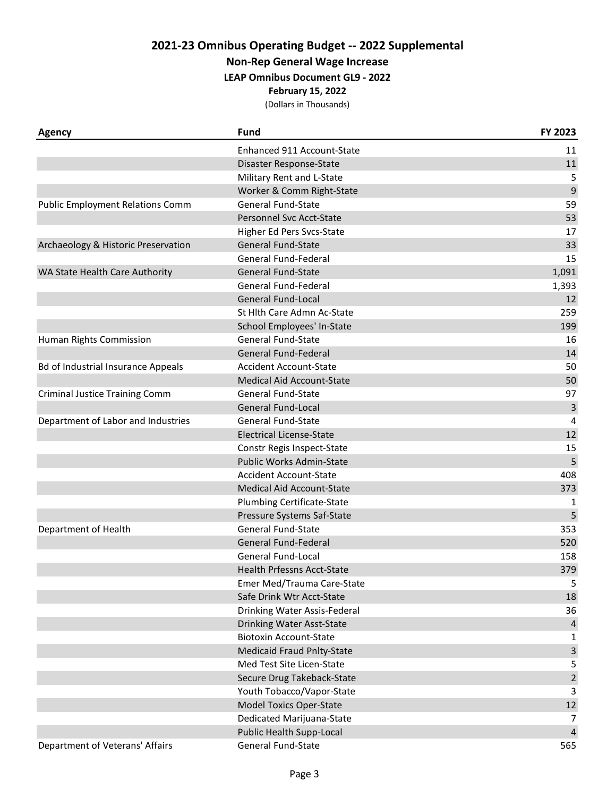**Non-Rep General Wage Increase**

**LEAP Omnibus Document GL9 - 2022**

**February 15, 2022**

| <b>Agency</b>                             | <b>Fund</b>                       | FY 2023        |
|-------------------------------------------|-----------------------------------|----------------|
|                                           | Enhanced 911 Account-State        | 11             |
|                                           | Disaster Response-State           | 11             |
|                                           | Military Rent and L-State         | 5              |
|                                           | Worker & Comm Right-State         | 9              |
| <b>Public Employment Relations Comm</b>   | <b>General Fund-State</b>         | 59             |
|                                           | Personnel Svc Acct-State          | 53             |
|                                           | Higher Ed Pers Svcs-State         | 17             |
| Archaeology & Historic Preservation       | <b>General Fund-State</b>         | 33             |
|                                           | General Fund-Federal              | 15             |
| WA State Health Care Authority            | <b>General Fund-State</b>         | 1,091          |
|                                           | General Fund-Federal              | 1,393          |
|                                           | <b>General Fund-Local</b>         | 12             |
|                                           | St Hlth Care Admn Ac-State        | 259            |
|                                           | School Employees' In-State        | 199            |
| Human Rights Commission                   | <b>General Fund-State</b>         | 16             |
|                                           | <b>General Fund-Federal</b>       | 14             |
| <b>Bd of Industrial Insurance Appeals</b> | <b>Accident Account-State</b>     | 50             |
|                                           | Medical Aid Account-State         | 50             |
| <b>Criminal Justice Training Comm</b>     | <b>General Fund-State</b>         | 97             |
|                                           | <b>General Fund-Local</b>         | 3              |
| Department of Labor and Industries        | <b>General Fund-State</b>         | 4              |
|                                           | <b>Electrical License-State</b>   | 12             |
|                                           | Constr Regis Inspect-State        | 15             |
|                                           | Public Works Admin-State          | 5              |
|                                           | <b>Accident Account-State</b>     | 408            |
|                                           | Medical Aid Account-State         | 373            |
|                                           | <b>Plumbing Certificate-State</b> | 1              |
|                                           | Pressure Systems Saf-State        | 5              |
| Department of Health                      | <b>General Fund-State</b>         | 353            |
|                                           | <b>General Fund-Federal</b>       | 520            |
|                                           | <b>General Fund-Local</b>         | 158            |
|                                           | <b>Health Prfessns Acct-State</b> | 379            |
|                                           | Emer Med/Trauma Care-State        | 5              |
|                                           | Safe Drink Wtr Acct-State         | 18             |
|                                           | Drinking Water Assis-Federal      | 36             |
|                                           | Drinking Water Asst-State         | $\overline{4}$ |
|                                           | <b>Biotoxin Account-State</b>     | 1              |
|                                           | <b>Medicaid Fraud Pnlty-State</b> | 3              |
|                                           | Med Test Site Licen-State         | 5              |
|                                           | Secure Drug Takeback-State        | $\overline{2}$ |
|                                           | Youth Tobacco/Vapor-State         | 3              |
|                                           | <b>Model Toxics Oper-State</b>    | 12             |
|                                           | Dedicated Marijuana-State         | $\overline{7}$ |
|                                           | Public Health Supp-Local          | $\overline{4}$ |
| Department of Veterans' Affairs           | General Fund-State                | 565            |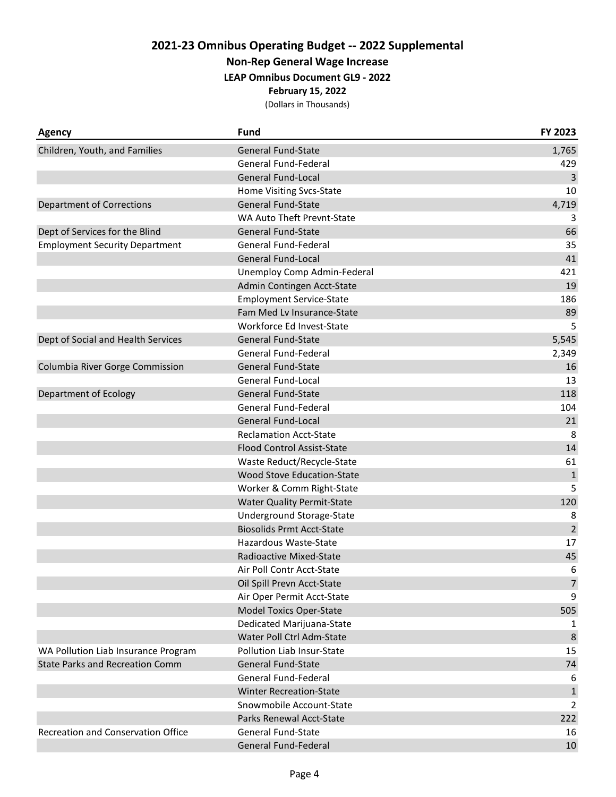**Non-Rep General Wage Increase**

**LEAP Omnibus Document GL9 - 2022**

**February 15, 2022**

| <b>Agency</b>                          | <b>Fund</b>                       | FY 2023        |
|----------------------------------------|-----------------------------------|----------------|
| Children, Youth, and Families          | <b>General Fund-State</b>         | 1,765          |
|                                        | General Fund-Federal              | 429            |
|                                        | <b>General Fund-Local</b>         | 3              |
|                                        | Home Visiting Svcs-State          | 10             |
| Department of Corrections              | <b>General Fund-State</b>         | 4,719          |
|                                        | WA Auto Theft Prevnt-State        | 3              |
| Dept of Services for the Blind         | <b>General Fund-State</b>         | 66             |
| <b>Employment Security Department</b>  | General Fund-Federal              | 35             |
|                                        | <b>General Fund-Local</b>         | 41             |
|                                        | Unemploy Comp Admin-Federal       | 421            |
|                                        | Admin Contingen Acct-State        | 19             |
|                                        | <b>Employment Service-State</b>   | 186            |
|                                        | Fam Med Lv Insurance-State        | 89             |
|                                        | Workforce Ed Invest-State         | 5              |
| Dept of Social and Health Services     | <b>General Fund-State</b>         | 5,545          |
|                                        | General Fund-Federal              | 2,349          |
| Columbia River Gorge Commission        | <b>General Fund-State</b>         | 16             |
|                                        | General Fund-Local                | 13             |
| Department of Ecology                  | <b>General Fund-State</b>         | 118            |
|                                        | General Fund-Federal              | 104            |
|                                        | <b>General Fund-Local</b>         | 21             |
|                                        | <b>Reclamation Acct-State</b>     | 8              |
|                                        | <b>Flood Control Assist-State</b> | 14             |
|                                        | Waste Reduct/Recycle-State        | 61             |
|                                        | Wood Stove Education-State        | $\mathbf 1$    |
|                                        | Worker & Comm Right-State         | 5              |
|                                        | <b>Water Quality Permit-State</b> | 120            |
|                                        | Underground Storage-State         | 8              |
|                                        | <b>Biosolids Prmt Acct-State</b>  | $\overline{2}$ |
|                                        | Hazardous Waste-State             | 17             |
|                                        | Radioactive Mixed-State           | 45             |
|                                        | Air Poll Contr Acct-State         | 6              |
|                                        | Oil Spill Prevn Acct-State        | $\overline{7}$ |
|                                        | Air Oper Permit Acct-State        | 9              |
|                                        | <b>Model Toxics Oper-State</b>    | 505            |
|                                        | Dedicated Marijuana-State         | 1              |
|                                        | Water Poll Ctrl Adm-State         | 8              |
| WA Pollution Liab Insurance Program    | Pollution Liab Insur-State        | 15             |
| <b>State Parks and Recreation Comm</b> | <b>General Fund-State</b>         | 74             |
|                                        | General Fund-Federal              | 6              |
|                                        | <b>Winter Recreation-State</b>    | $\mathbf{1}$   |
|                                        | Snowmobile Account-State          | $\overline{2}$ |
|                                        | Parks Renewal Acct-State          | 222            |
| Recreation and Conservation Office     | <b>General Fund-State</b>         | 16             |
|                                        | General Fund-Federal              | 10             |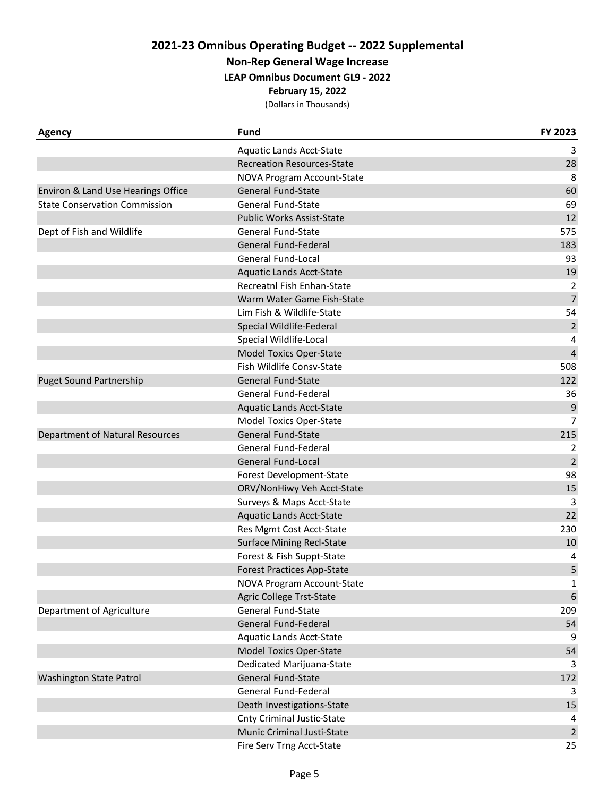**Non-Rep General Wage Increase**

**LEAP Omnibus Document GL9 - 2022**

**February 15, 2022**

| <b>Agency</b>                        | <b>Fund</b>                       | FY 2023        |
|--------------------------------------|-----------------------------------|----------------|
|                                      | <b>Aquatic Lands Acct-State</b>   | 3              |
|                                      | <b>Recreation Resources-State</b> | 28             |
|                                      | NOVA Program Account-State        | 8              |
| Environ & Land Use Hearings Office   | <b>General Fund-State</b>         | 60             |
| <b>State Conservation Commission</b> | <b>General Fund-State</b>         | 69             |
|                                      | <b>Public Works Assist-State</b>  | 12             |
| Dept of Fish and Wildlife            | <b>General Fund-State</b>         | 575            |
|                                      | General Fund-Federal              | 183            |
|                                      | General Fund-Local                | 93             |
|                                      | <b>Aquatic Lands Acct-State</b>   | 19             |
|                                      | Recreatnl Fish Enhan-State        | 2              |
|                                      | Warm Water Game Fish-State        | $\overline{7}$ |
|                                      | Lim Fish & Wildlife-State         | 54             |
|                                      | Special Wildlife-Federal          | $\overline{2}$ |
|                                      | Special Wildlife-Local            | 4              |
|                                      | <b>Model Toxics Oper-State</b>    | $\overline{4}$ |
|                                      | Fish Wildlife Consv-State         | 508            |
| <b>Puget Sound Partnership</b>       | <b>General Fund-State</b>         | 122            |
|                                      | <b>General Fund-Federal</b>       | 36             |
|                                      | <b>Aquatic Lands Acct-State</b>   | 9              |
|                                      | Model Toxics Oper-State           | $\overline{7}$ |
| Department of Natural Resources      | <b>General Fund-State</b>         | 215            |
|                                      | General Fund-Federal              | 2              |
|                                      | <b>General Fund-Local</b>         | $\overline{2}$ |
|                                      | Forest Development-State          | 98             |
|                                      | ORV/NonHiwy Veh Acct-State        | 15             |
|                                      | Surveys & Maps Acct-State         | 3              |
|                                      | <b>Aquatic Lands Acct-State</b>   | 22             |
|                                      | Res Mgmt Cost Acct-State          | 230            |
|                                      | <b>Surface Mining Recl-State</b>  | 10             |
|                                      | Forest & Fish Suppt-State         | 4              |
|                                      | <b>Forest Practices App-State</b> | 5              |
|                                      | NOVA Program Account-State        | $\mathbf{1}$   |
|                                      | Agric College Trst-State          | 6              |
| Department of Agriculture            | <b>General Fund-State</b>         | 209            |
|                                      | General Fund-Federal              | 54             |
|                                      | <b>Aquatic Lands Acct-State</b>   | 9              |
|                                      | <b>Model Toxics Oper-State</b>    | 54             |
|                                      | Dedicated Marijuana-State         | 3              |
| <b>Washington State Patrol</b>       | General Fund-State                | 172            |
|                                      | General Fund-Federal              | 3              |
|                                      | Death Investigations-State        | 15             |
|                                      | <b>Cnty Criminal Justic-State</b> | 4              |
|                                      | Munic Criminal Justi-State        | $\overline{2}$ |
|                                      | Fire Serv Trng Acct-State         | 25             |